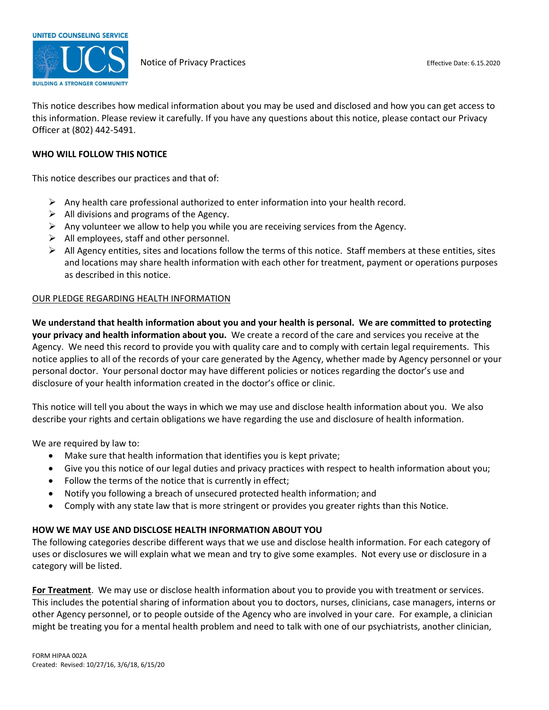

This notice describes how medical information about you may be used and disclosed and how you can get access to this information. Please review it carefully. If you have any questions about this notice, please contact our Privacy Officer at (802) 442-5491.

### **WHO WILL FOLLOW THIS NOTICE**

This notice describes our practices and that of:

- $\triangleright$  Any health care professional authorized to enter information into your health record.
- $\triangleright$  All divisions and programs of the Agency.
- $\triangleright$  Any volunteer we allow to help you while you are receiving services from the Agency.
- $\triangleright$  All employees, staff and other personnel.
- $\triangleright$  All Agency entities, sites and locations follow the terms of this notice. Staff members at these entities, sites and locations may share health information with each other for treatment, payment or operations purposes as described in this notice.

### OUR PLEDGE REGARDING HEALTH INFORMATION

**We understand that health information about you and your health is personal. We are committed to protecting your privacy and health information about you.** We create a record of the care and services you receive at the Agency. We need this record to provide you with quality care and to comply with certain legal requirements. This notice applies to all of the records of your care generated by the Agency, whether made by Agency personnel or your personal doctor. Your personal doctor may have different policies or notices regarding the doctor's use and disclosure of your health information created in the doctor's office or clinic.

This notice will tell you about the ways in which we may use and disclose health information about you. We also describe your rights and certain obligations we have regarding the use and disclosure of health information.

We are required by law to:

- Make sure that health information that identifies you is kept private;
- Give you this notice of our legal duties and privacy practices with respect to health information about you;
- Follow the terms of the notice that is currently in effect;
- Notify you following a breach of unsecured protected health information; and
- Comply with any state law that is more stringent or provides you greater rights than this Notice.

### **HOW WE MAY USE AND DISCLOSE HEALTH INFORMATION ABOUT YOU**

The following categories describe different ways that we use and disclose health information. For each category of uses or disclosures we will explain what we mean and try to give some examples. Not every use or disclosure in a category will be listed.

**For Treatment**. We may use or disclose health information about you to provide you with treatment or services. This includes the potential sharing of information about you to doctors, nurses, clinicians, case managers, interns or other Agency personnel, or to people outside of the Agency who are involved in your care. For example, a clinician might be treating you for a mental health problem and need to talk with one of our psychiatrists, another clinician,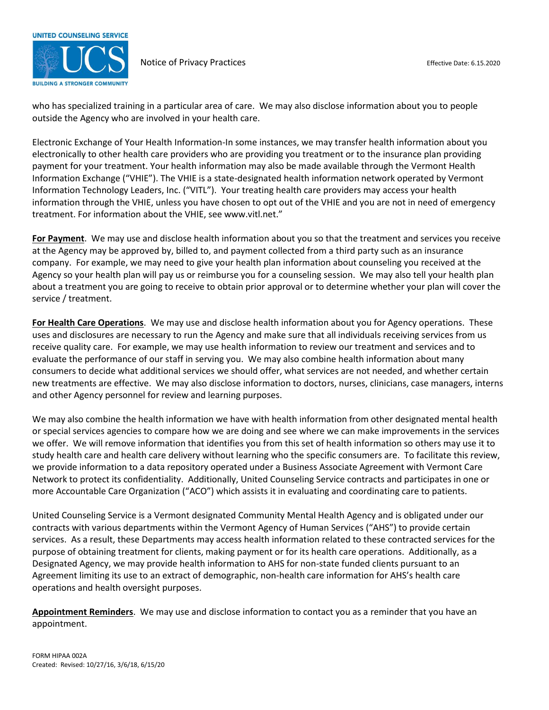

who has specialized training in a particular area of care. We may also disclose information about you to people outside the Agency who are involved in your health care.

Electronic Exchange of Your Health Information-In some instances, we may transfer health information about you electronically to other health care providers who are providing you treatment or to the insurance plan providing payment for your treatment. Your health information may also be made available through the Vermont Health Information Exchange ("VHIE"). The VHIE is a state-designated health information network operated by Vermont Information Technology Leaders, Inc. ("VITL"). Your treating health care providers may access your health information through the VHIE, unless you have chosen to opt out of the VHIE and you are not in need of emergency treatment. For information about the VHIE, see www.vitl.net."

**For Payment**. We may use and disclose health information about you so that the treatment and services you receive at the Agency may be approved by, billed to, and payment collected from a third party such as an insurance company. For example, we may need to give your health plan information about counseling you received at the Agency so your health plan will pay us or reimburse you for a counseling session. We may also tell your health plan about a treatment you are going to receive to obtain prior approval or to determine whether your plan will cover the service / treatment.

**For Health Care Operations**. We may use and disclose health information about you for Agency operations. These uses and disclosures are necessary to run the Agency and make sure that all individuals receiving services from us receive quality care. For example, we may use health information to review our treatment and services and to evaluate the performance of our staff in serving you. We may also combine health information about many consumers to decide what additional services we should offer, what services are not needed, and whether certain new treatments are effective. We may also disclose information to doctors, nurses, clinicians, case managers, interns and other Agency personnel for review and learning purposes.

We may also combine the health information we have with health information from other designated mental health or special services agencies to compare how we are doing and see where we can make improvements in the services we offer. We will remove information that identifies you from this set of health information so others may use it to study health care and health care delivery without learning who the specific consumers are. To facilitate this review, we provide information to a data repository operated under a Business Associate Agreement with Vermont Care Network to protect its confidentiality. Additionally, United Counseling Service contracts and participates in one or more Accountable Care Organization ("ACO") which assists it in evaluating and coordinating care to patients.

United Counseling Service is a Vermont designated Community Mental Health Agency and is obligated under our contracts with various departments within the Vermont Agency of Human Services ("AHS") to provide certain services. As a result, these Departments may access health information related to these contracted services for the purpose of obtaining treatment for clients, making payment or for its health care operations. Additionally, as a Designated Agency, we may provide health information to AHS for non-state funded clients pursuant to an Agreement limiting its use to an extract of demographic, non-health care information for AHS's health care operations and health oversight purposes.

**Appointment Reminders**. We may use and disclose information to contact you as a reminder that you have an appointment.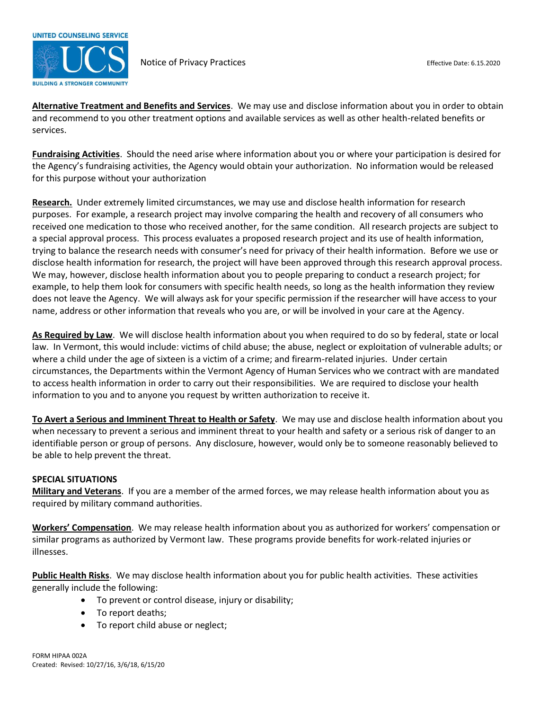

**Alternative Treatment and Benefits and Services**. We may use and disclose information about you in order to obtain and recommend to you other treatment options and available services as well as other health-related benefits or services.

**Fundraising Activities**. Should the need arise where information about you or where your participation is desired for the Agency's fundraising activities, the Agency would obtain your authorization. No information would be released for this purpose without your authorization

**Research.** Under extremely limited circumstances, we may use and disclose health information for research purposes. For example, a research project may involve comparing the health and recovery of all consumers who received one medication to those who received another, for the same condition. All research projects are subject to a special approval process. This process evaluates a proposed research project and its use of health information, trying to balance the research needs with consumer's need for privacy of their health information. Before we use or disclose health information for research, the project will have been approved through this research approval process. We may, however, disclose health information about you to people preparing to conduct a research project; for example, to help them look for consumers with specific health needs, so long as the health information they review does not leave the Agency. We will always ask for your specific permission if the researcher will have access to your name, address or other information that reveals who you are, or will be involved in your care at the Agency.

**As Required by Law**. We will disclose health information about you when required to do so by federal, state or local law. In Vermont, this would include: victims of child abuse; the abuse, neglect or exploitation of vulnerable adults; or where a child under the age of sixteen is a victim of a crime; and firearm-related injuries. Under certain circumstances, the Departments within the Vermont Agency of Human Services who we contract with are mandated to access health information in order to carry out their responsibilities. We are required to disclose your health information to you and to anyone you request by written authorization to receive it.

**To Avert a Serious and Imminent Threat to Health or Safety**. We may use and disclose health information about you when necessary to prevent a serious and imminent threat to your health and safety or a serious risk of danger to an identifiable person or group of persons. Any disclosure, however, would only be to someone reasonably believed to be able to help prevent the threat.

### **SPECIAL SITUATIONS**

**Military and Veterans**. If you are a member of the armed forces, we may release health information about you as required by military command authorities.

**Workers' Compensation**. We may release health information about you as authorized for workers' compensation or similar programs as authorized by Vermont law. These programs provide benefits for work-related injuries or illnesses.

**Public Health Risks**. We may disclose health information about you for public health activities. These activities generally include the following:

- To prevent or control disease, injury or disability;
- To report deaths;
- To report child abuse or neglect;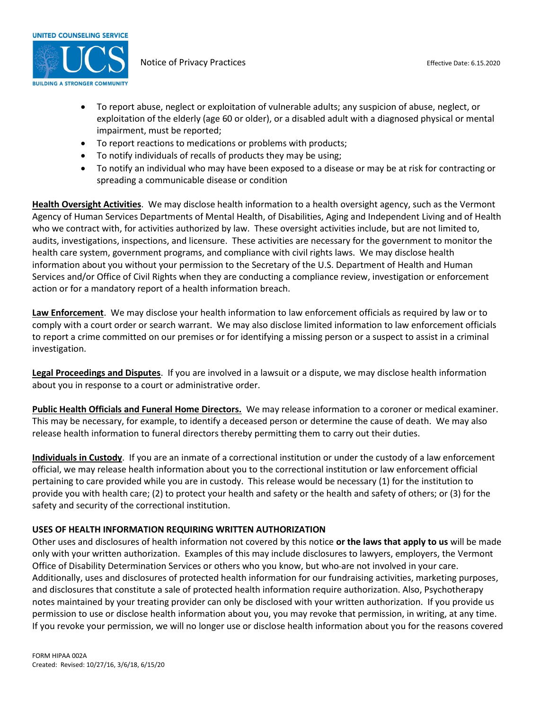

- To report abuse, neglect or exploitation of vulnerable adults; any suspicion of abuse, neglect, or exploitation of the elderly (age 60 or older), or a disabled adult with a diagnosed physical or mental impairment, must be reported;
- To report reactions to medications or problems with products;
- To notify individuals of recalls of products they may be using;
- To notify an individual who may have been exposed to a disease or may be at risk for contracting or spreading a communicable disease or condition

**Health Oversight Activities**. We may disclose health information to a health oversight agency, such as the Vermont Agency of Human Services Departments of Mental Health, of Disabilities, Aging and Independent Living and of Health who we contract with, for activities authorized by law. These oversight activities include, but are not limited to, audits, investigations, inspections, and licensure. These activities are necessary for the government to monitor the health care system, government programs, and compliance with civil rights laws. We may disclose health information about you without your permission to the Secretary of the U.S. Department of Health and Human Services and/or Office of Civil Rights when they are conducting a compliance review, investigation or enforcement action or for a mandatory report of a health information breach.

**Law Enforcement**. We may disclose your health information to law enforcement officials as required by law or to comply with a court order or search warrant. We may also disclose limited information to law enforcement officials to report a crime committed on our premises or for identifying a missing person or a suspect to assist in a criminal investigation.

**Legal Proceedings and Disputes**. If you are involved in a lawsuit or a dispute, we may disclose health information about you in response to a court or administrative order.

**Public Health Officials and Funeral Home Directors.** We may release information to a coroner or medical examiner. This may be necessary, for example, to identify a deceased person or determine the cause of death. We may also release health information to funeral directors thereby permitting them to carry out their duties.

**Individuals in Custody**. If you are an inmate of a correctional institution or under the custody of a law enforcement official, we may release health information about you to the correctional institution or law enforcement official pertaining to care provided while you are in custody. This release would be necessary (1) for the institution to provide you with health care; (2) to protect your health and safety or the health and safety of others; or (3) for the safety and security of the correctional institution.

# **USES OF HEALTH INFORMATION REQUIRING WRITTEN AUTHORIZATION**

Other uses and disclosures of health information not covered by this notice **or the laws that apply to us** will be made only with your written authorization. Examples of this may include disclosures to lawyers, employers, the Vermont Office of Disability Determination Services or others who you know, but who are not involved in your care. Additionally, uses and disclosures of protected health information for our fundraising activities, marketing purposes, and disclosures that constitute a sale of protected health information require authorization. Also, Psychotherapy notes maintained by your treating provider can only be disclosed with your written authorization. If you provide us permission to use or disclose health information about you, you may revoke that permission, in writing, at any time. If you revoke your permission, we will no longer use or disclose health information about you for the reasons covered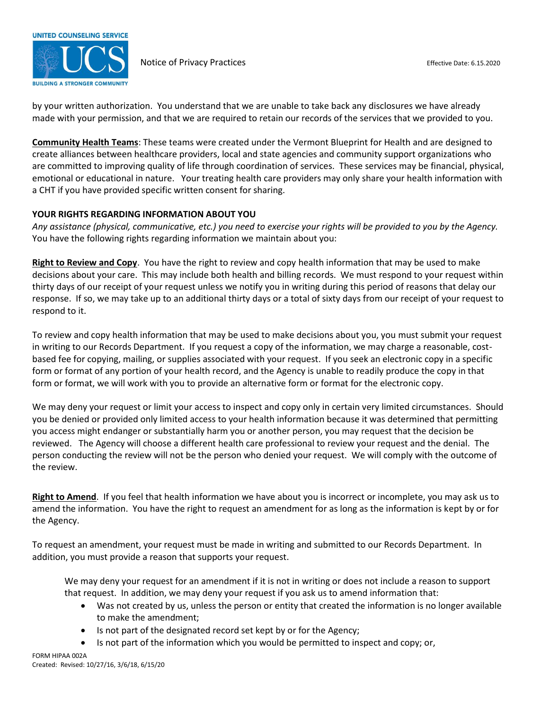

by your written authorization. You understand that we are unable to take back any disclosures we have already made with your permission, and that we are required to retain our records of the services that we provided to you.

**Community Health Teams**: These teams were created under the Vermont Blueprint for Health and are designed to create alliances between healthcare providers, local and state agencies and community support organizations who are committed to improving quality of life through coordination of services. These services may be financial, physical, emotional or educational in nature. Your treating health care providers may only share your health information with a CHT if you have provided specific written consent for sharing.

### **YOUR RIGHTS REGARDING INFORMATION ABOUT YOU**

*Any assistance (physical, communicative, etc.) you need to exercise your rights will be provided to you by the Agency.* You have the following rights regarding information we maintain about you:

**Right to Review and Copy**. You have the right to review and copy health information that may be used to make decisions about your care. This may include both health and billing records. We must respond to your request within thirty days of our receipt of your request unless we notify you in writing during this period of reasons that delay our response. If so, we may take up to an additional thirty days or a total of sixty days from our receipt of your request to respond to it.

To review and copy health information that may be used to make decisions about you, you must submit your request in writing to our Records Department. If you request a copy of the information, we may charge a reasonable, costbased fee for copying, mailing, or supplies associated with your request. If you seek an electronic copy in a specific form or format of any portion of your health record, and the Agency is unable to readily produce the copy in that form or format, we will work with you to provide an alternative form or format for the electronic copy.

We may deny your request or limit your access to inspect and copy only in certain very limited circumstances. Should you be denied or provided only limited access to your health information because it was determined that permitting you access might endanger or substantially harm you or another person, you may request that the decision be reviewed. The Agency will choose a different health care professional to review your request and the denial. The person conducting the review will not be the person who denied your request. We will comply with the outcome of the review.

**Right to Amend**. If you feel that health information we have about you is incorrect or incomplete, you may ask us to amend the information. You have the right to request an amendment for as long as the information is kept by or for the Agency.

To request an amendment, your request must be made in writing and submitted to our Records Department. In addition, you must provide a reason that supports your request.

We may deny your request for an amendment if it is not in writing or does not include a reason to support that request. In addition, we may deny your request if you ask us to amend information that:

- Was not created by us, unless the person or entity that created the information is no longer available to make the amendment;
- Is not part of the designated record set kept by or for the Agency;
- Is not part of the information which you would be permitted to inspect and copy; or,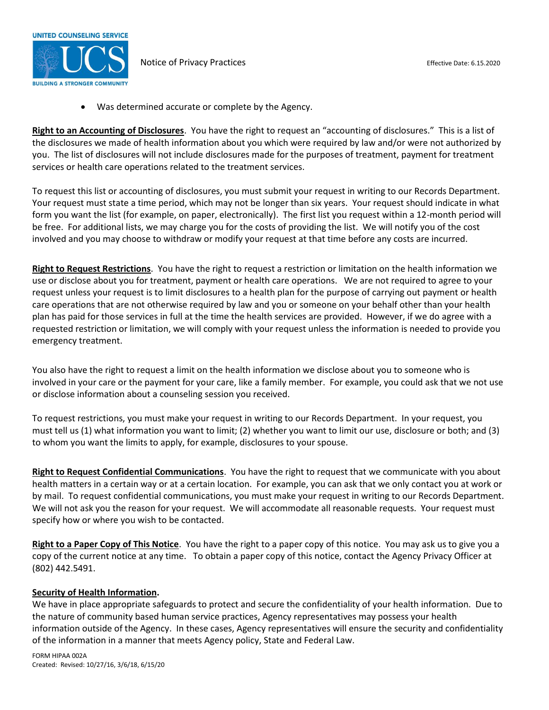

Was determined accurate or complete by the Agency.

**Right to an Accounting of Disclosures**. You have the right to request an "accounting of disclosures." This is a list of the disclosures we made of health information about you which were required by law and/or were not authorized by you. The list of disclosures will not include disclosures made for the purposes of treatment, payment for treatment services or health care operations related to the treatment services.

To request this list or accounting of disclosures, you must submit your request in writing to our Records Department. Your request must state a time period, which may not be longer than six years. Your request should indicate in what form you want the list (for example, on paper, electronically). The first list you request within a 12-month period will be free. For additional lists, we may charge you for the costs of providing the list. We will notify you of the cost involved and you may choose to withdraw or modify your request at that time before any costs are incurred.

**Right to Request Restrictions**. You have the right to request a restriction or limitation on the health information we use or disclose about you for treatment, payment or health care operations. We are not required to agree to your request unless your request is to limit disclosures to a health plan for the purpose of carrying out payment or health care operations that are not otherwise required by law and you or someone on your behalf other than your health plan has paid for those services in full at the time the health services are provided. However, if we do agree with a requested restriction or limitation, we will comply with your request unless the information is needed to provide you emergency treatment.

You also have the right to request a limit on the health information we disclose about you to someone who is involved in your care or the payment for your care, like a family member. For example, you could ask that we not use or disclose information about a counseling session you received.

To request restrictions, you must make your request in writing to our Records Department. In your request, you must tell us (1) what information you want to limit; (2) whether you want to limit our use, disclosure or both; and (3) to whom you want the limits to apply, for example, disclosures to your spouse.

**Right to Request Confidential Communications**. You have the right to request that we communicate with you about health matters in a certain way or at a certain location. For example, you can ask that we only contact you at work or by mail. To request confidential communications, you must make your request in writing to our Records Department. We will not ask you the reason for your request. We will accommodate all reasonable requests. Your request must specify how or where you wish to be contacted.

**Right to a Paper Copy of This Notice**. You have the right to a paper copy of this notice. You may ask us to give you a copy of the current notice at any time. To obtain a paper copy of this notice, contact the Agency Privacy Officer at (802) 442.5491.

### **Security of Health Information.**

We have in place appropriate safeguards to protect and secure the confidentiality of your health information. Due to the nature of community based human service practices, Agency representatives may possess your health information outside of the Agency. In these cases, Agency representatives will ensure the security and confidentiality of the information in a manner that meets Agency policy, State and Federal Law.